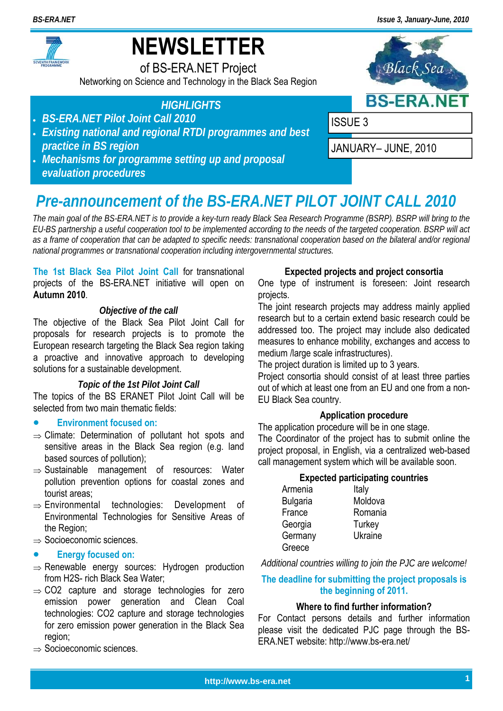*BS-ERA.NET Issue 3, January-June, 2010*



# **NEWSLETTER**

of BS-ERA.NET Project

Networking on Science and Technology in the Black Sea Region



## *HIGHLIGHTS*

- *BS-ERA.NET Pilot Joint Call 2010*
- *Existing national and regional RTDI programmes and best practice in BS region*
- *Mechanisms for programme setting up and proposal evaluation procedures*



## *Pre-announcement of the BS-ERA.NET PILOT JOINT CALL 2010*

*The main goal of the BS-ERA.NET is to provide a key-turn ready Black Sea Research Programme (BSRP). BSRP will bring to the EU-BS partnership a useful cooperation tool to be implemented according to the needs of the targeted cooperation. BSRP will act as a frame of cooperation that can be adapted to specific needs: transnational cooperation based on the bilateral and/or regional national programmes or transnational cooperation including intergovernmental structures.* 

### **The 1st Black Sea Pilot Joint Call** for transnational projects of the BS-ERA.NET initiative will open on **Autumn 2010**.

## *Objective of the call*

The objective of the Black Sea Pilot Joint Call for proposals for research projects is to promote the European research targeting the Black Sea region taking a proactive and innovative approach to developing solutions for a sustainable development.

### *Topic of the 1st Pilot Joint Call*

The topics of the BS ERANET Pilot Joint Call will be selected from two main thematic fields:

## **Environment focused on:**

- $\Rightarrow$  Climate: Determination of pollutant hot spots and sensitive areas in the Black Sea region (e.g. land based sources of pollution);
- $\Rightarrow$  Sustainable management of resources: Water pollution prevention options for coastal zones and tourist areas;
- $\Rightarrow$  Environmental technologies: Development of Environmental Technologies for Sensitive Areas of the Region;
- $\Rightarrow$  Socioeconomic sciences.

## **Energy focused on:**

- $\Rightarrow$  Renewable energy sources: Hydrogen production from H2S- rich Black Sea Water;
- $\Rightarrow$  CO2 capture and storage technologies for zero emission power generation and Clean Coal technologies: CO2 capture and storage technologies for zero emission power generation in the Black Sea region;
- $\Rightarrow$  Socioeconomic sciences.

## **Expected projects and project consortia**

One type of instrument is foreseen: Joint research projects.

The joint research projects may address mainly applied research but to a certain extend basic research could be addressed too. The project may include also dedicated measures to enhance mobility, exchanges and access to medium /large scale infrastructures).

The project duration is limited up to 3 years.

Project consortia should consist of at least three parties out of which at least one from an EU and one from a non-EU Black Sea country.

## **Application procedure**

The application procedure will be in one stage. The Coordinator of the project has to submit online the project proposal, in English, via a centralized web-based call management system which will be available soon.

### **Expected participating countries**

| Armenia         | Italy   |
|-----------------|---------|
| <b>Bulgaria</b> | Moldova |
| France          | Romania |
| Georgia         | Turkey  |
| Germany         | Ukraine |
| Greece          |         |

*Additional countries willing to join the PJC are welcome!* 

## **The deadline for submitting the project proposals is the beginning of 2011.**

### **Where to find further information?**

For Contact persons details and further information please visit the dedicated PJC page through the BS-ERA.NET website: http://www.bs-era.net/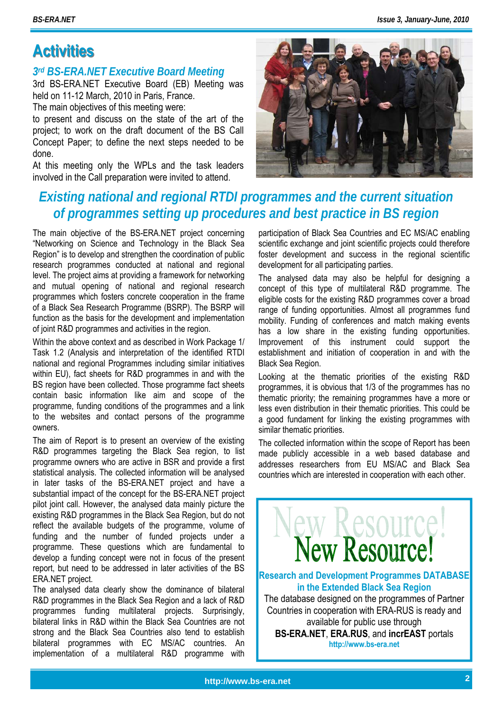## **Activities Activities**

## *3rd BS-ERA.NET Executive Board Meeting*

3rd BS-ERA.NET Executive Board (EB) Meeting was held on 11-12 March, 2010 in Paris, France.

The main objectives of this meeting were:

to present and discuss on the state of the art of the project; to work on the draft document of the BS Call Concept Paper; to define the next steps needed to be done.

At this meeting only the WPLs and the task leaders involved in the Call preparation were invited to attend.

## *Existing national and regional RTDI programmes and the current situation of programmes setting up procedures and best practice in BS region*

The main objective of the BS-ERA.NET project concerning "Networking on Science and Technology in the Black Sea Region" is to develop and strengthen the coordination of public research programmes conducted at national and regional level. The project aims at providing a framework for networking and mutual opening of national and regional research programmes which fosters concrete cooperation in the frame of a Black Sea Research Programme (BSRP). The BSRP will function as the basis for the development and implementation of joint R&D programmes and activities in the region.

Within the above context and as described in Work Package 1/ Task 1.2 (Analysis and interpretation of the identified RTDI national and regional Programmes including similar initiatives within EU), fact sheets for R&D programmes in and with the BS region have been collected. Those programme fact sheets contain basic information like aim and scope of the programme, funding conditions of the programmes and a link to the websites and contact persons of the programme owners.

The aim of Report is to present an overview of the existing R&D programmes targeting the Black Sea region, to list programme owners who are active in BSR and provide a first statistical analysis. The collected information will be analysed in later tasks of the BS-ERA.NET project and have a substantial impact of the concept for the BS-ERA.NET project pilot joint call. However, the analysed data mainly picture the existing R&D programmes in the Black Sea Region, but do not reflect the available budgets of the programme, volume of funding and the number of funded projects under a programme. These questions which are fundamental to develop a funding concept were not in focus of the present report, but need to be addressed in later activities of the BS ERA.NET project.

The analysed data clearly show the dominance of bilateral R&D programmes in the Black Sea Region and a lack of R&D programmes funding multilateral projects. Surprisingly, bilateral links in R&D within the Black Sea Countries are not strong and the Black Sea Countries also tend to establish bilateral programmes with EC MS/AC countries. An implementation of a multilateral R&D programme with

participation of Black Sea Countries and EC MS/AC enabling scientific exchange and joint scientific projects could therefore foster development and success in the regional scientific development for all participating parties.

The analysed data may also be helpful for designing a concept of this type of multilateral R&D programme. The eligible costs for the existing R&D programmes cover a broad range of funding opportunities. Almost all programmes fund mobility. Funding of conferences and match making events has a low share in the existing funding opportunities. Improvement of this instrument could support the establishment and initiation of cooperation in and with the Black Sea Region.

Looking at the thematic priorities of the existing R&D programmes, it is obvious that 1/3 of the programmes has no thematic priority; the remaining programmes have a more or less even distribution in their thematic priorities. This could be a good fundament for linking the existing programmes with similar thematic priorities.

The collected information within the scope of Report has been made publicly accessible in a web based database and addresses researchers from EU MS/AC and Black Sea countries which are interested in cooperation with each other.

**Research and Development Programmes DATABASE in the Extended Black Sea Region**  The database designed on the programmes of Partner Countries in cooperation with ERA-RUS is ready and available for public use through **BS-ERA.NET**, **ERA.RUS**, and **incrEAST** portals **http://www.bs-era.net** 

ew Resource!

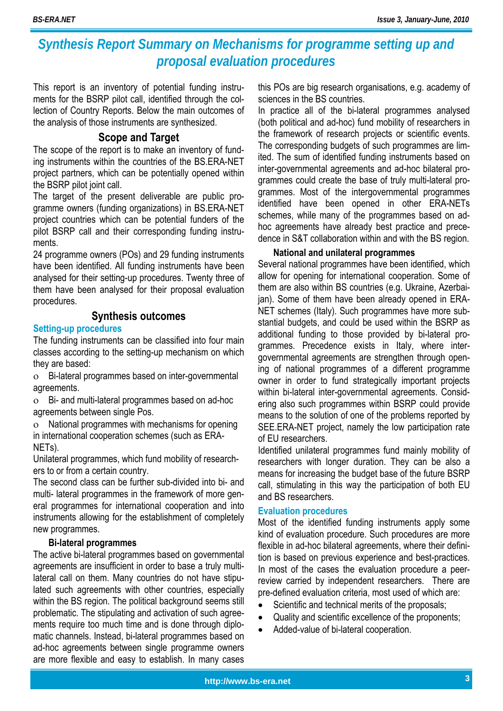## *Synthesis Report Summary on Mechanisms for programme setting up and proposal evaluation procedures*

This report is an inventory of potential funding instruments for the BSRP pilot call, identified through the collection of Country Reports. Below the main outcomes of the analysis of those instruments are synthesized.

## **Scope and Target**

The scope of the report is to make an inventory of funding instruments within the countries of the BS.ERA-NET project partners, which can be potentially opened within the BSRP pilot joint call.

The target of the present deliverable are public programme owners (funding organizations) in BS.ERA-NET project countries which can be potential funders of the pilot BSRP call and their corresponding funding instruments.

24 programme owners (POs) and 29 funding instruments have been identified. All funding instruments have been analysed for their setting-up procedures. Twenty three of them have been analysed for their proposal evaluation procedures.

## **Synthesis outcomes**

## **Setting-up procedures**

The funding instruments can be classified into four main classes according to the setting-up mechanism on which they are based:

 Bi-lateral programmes based on inter-governmental agreements.

 Bi- and multi-lateral programmes based on ad-hoc agreements between single Pos.

 National programmes with mechanisms for opening in international cooperation schemes (such as ERA-NETs).

Unilateral programmes, which fund mobility of researchers to or from a certain country.

The second class can be further sub-divided into bi- and multi- lateral programmes in the framework of more general programmes for international cooperation and into instruments allowing for the establishment of completely new programmes.

## **Bi-lateral programmes**

The active bi-lateral programmes based on governmental agreements are insufficient in order to base a truly multilateral call on them. Many countries do not have stipulated such agreements with other countries, especially within the BS region. The political background seems still problematic. The stipulating and activation of such agreements require too much time and is done through diplomatic channels. Instead, bi-lateral programmes based on ad-hoc agreements between single programme owners are more flexible and easy to establish. In many cases

this POs are big research organisations, e.g. academy of sciences in the BS countries.

In practice all of the bi-lateral programmes analysed (both political and ad-hoc) fund mobility of researchers in the framework of research projects or scientific events. The corresponding budgets of such programmes are limited. The sum of identified funding instruments based on inter-governmental agreements and ad-hoc bilateral programmes could create the base of truly multi-lateral programmes. Most of the intergovernmental programmes identified have been opened in other ERA-NETs schemes, while many of the programmes based on adhoc agreements have already best practice and precedence in S&T collaboration within and with the BS region.

## **National and unilateral programmes**

Several national programmes have been identified, which allow for opening for international cooperation. Some of them are also within BS countries (e.g. Ukraine, Azerbaijan). Some of them have been already opened in ERA-NET schemes (Italy). Such programmes have more substantial budgets, and could be used within the BSRP as additional funding to those provided by bi-lateral programmes. Precedence exists in Italy, where intergovernmental agreements are strengthen through opening of national programmes of a different programme owner in order to fund strategically important projects within bi-lateral inter-governmental agreements. Considering also such programmes within BSRP could provide means to the solution of one of the problems reported by SEE.ERA-NET project, namely the low participation rate of EU researchers.

Identified unilateral programmes fund mainly mobility of researchers with longer duration. They can be also a means for increasing the budget base of the future BSRP call, stimulating in this way the participation of both EU and BS researchers.

### **Evaluation procedures**

Most of the identified funding instruments apply some kind of evaluation procedure. Such procedures are more flexible in ad-hoc bilateral agreements, where their definition is based on previous experience and best-practices. In most of the cases the evaluation procedure a peerreview carried by independent researchers. There are pre-defined evaluation criteria, most used of which are:

- Scientific and technical merits of the proposals;
- Quality and scientific excellence of the proponents;
- Added-value of bi-lateral cooperation.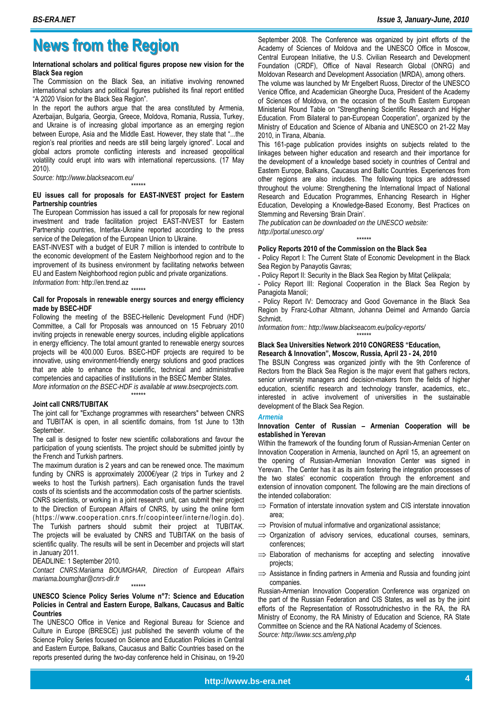## **News from the Region News from the Region**

#### **International scholars and political figures propose new vision for the Black Sea region**

The Commission on the Black Sea, an initiative involving renowned international scholars and political figures published its final report entitled "A 2020 Vision for the Black Sea Region".

In the report the authors argue that the area constituted by Armenia, Azerbaijan, Bulgaria, Georgia, Greece, Moldova, Romania, Russia, Turkey, and Ukraine is of increasing global importance as an emerging region between Europe, Asia and the Middle East. However, they state that "...the region's real priorities and needs are still being largely ignored". Local and global actors promote conflicting interests and increased geopolitical volatility could erupt into wars with international repercussions. (17 May 2010).

*Source: http://www.blackseacom.eu/* 

#### \*\*\*\*\*\* **EU issues call for proposals for EAST-INVEST project for Eastern Partnership countries**

The European Commission has issued a call for proposals for new regional investment and trade facilitation project EAST-INVEST for Eastern Partnership countries, Interfax-Ukraine reported according to the press service of the Delegation of the European Union to Ukraine.

EAST-INVEST with a budget of EUR 7 million is intended to contribute to the economic development of the Eastern Neighborhood region and to the improvement of its business environment by facilitating networks between EU and Eastern Neighborhood region public and private organizations. *Information from:* http://en.trend.az

\*\*\*\*\*\*

#### **Call for Proposals in renewable energy sources and energy efficiency made by BSEC-HDF**

Following the meeting of the BSEC-Hellenic Development Fund (HDF) Committee, a Call for Proposals was announced on 15 February 2010 inviting projects in renewable energy sources, including eligible applications in energy efficiency. The total amount granted to renewable energy sources projects will be 400.000 Euros. BSEC-HDF projects are required to be innovative, using environment-friendly energy solutions and good practices that are able to enhance the scientific, technical and administrative competencies and capacities of institutions in the BSEC Member States.

*More information on the BSEC-HDF is available at www.bsecprojects.com.*  \*\*\*\*\*\*

#### **Joint call CNRS/TUBITAK**

The joint call for "Exchange programmes with researchers" between CNRS and TUBITAK is open, in all scientific domains, from 1st June to 13th September.

The call is designed to foster new scientific collaborations and favour the participation of young scientists. The project should be submitted jointly by the French and Turkish partners.

The maximum duration is 2 years and can be renewed once. The maximum funding by CNRS is approximately 2000€/year (2 trips in Turkey and 2 weeks to host the Turkish partners). Each organisation funds the travel costs of its scientists and the accommodation costs of the partner scientists.

CNRS scientists, or working in a joint research unit, can submit their project to the Direction of European Affairs of CNRS, by using the online form (https://www.cooperation.cnrs.fr/coopinteer/interne/login.do). The Turkish partners should submit their project at TUBITAK. The projects will be evaluated by CNRS and TUBITAK on the basis of scientific quality. The results will be sent in December and projects will start in January 2011.

#### DEADLINE: 1 September 2010.

*Contact CNRS:Mariama BOUMGHAR, Direction of European Affairs mariama.boumghar@cnrs-dir.fr*  \*\*\*\*\*\*

#### **UNESCO Science Policy Series Volume n°7: Science and Education Policies in Central and Eastern Europe, Balkans, Caucasus and Baltic Countries**

The UNESCO Office in Venice and Regional Bureau for Science and Culture in Europe (BRESCE) just published the seventh volume of the Science Policy Series focused on Science and Education Policies in Central and Eastern Europe, Balkans, Caucasus and Baltic Countries based on the reports presented during the two-day conference held in Chisinau, on 19-20

September 2008. The Conference was organized by joint efforts of the Academy of Sciences of Moldova and the UNESCO Office in Moscow, Central European Initiative, the U.S. Civilian Research and Development Foundation (CRDF), Office of Naval Research Global (ONRG) and Moldovan Research and Development Association (MRDA), among others.

The volume was launched by Mr Engelbert Ruoss, Director of the UNESCO Venice Office, and Academician Gheorghe Duca, President of the Academy of Sciences of Moldova, on the occasion of the South Eastern European Ministerial Round Table on "Strengthening Scientific Research and Higher Education. From Bilateral to pan-European Cooperation", organized by the Ministry of Education and Science of Albania and UNESCO on 21-22 May 2010, in Tirana, Albania.

This 161-page publication provides insights on subjects related to the linkages between higher education and research and their importance for the development of a knowledge based society in countries of Central and Eastern Europe, Balkans, Caucasus and Baltic Countries. Experiences from other regions are also includes. The following topics are addressed throughout the volume: Strengthening the International Impact of National Research and Education Programmes, Enhancing Research in Higher Education, Developing a Knowledge-Based Economy, Best Practices on Stemming and Reversing 'Brain Drain'.

*The publication can be downloaded on the UNESCO website: http://portal.unesco.org/*  \*\*\*\*\*\*

#### **Policy Reports 2010 of the Commission on the Black Sea**

- Policy Report I: The Current State of Economic Development in the Black Sea Region by Panayotis Gavras;

- Policy Report II: Security in the Black Sea Region by Mitat Çelikpala;

Policy Report III: Regional Cooperation in the Black Sea Region by Panagiota Manoli;

- Policy Report IV: Democracy and Good Governance in the Black Sea Region by Franz-Lothar Altmann, Johanna Deimel and Armando García Schmidt.

\*\*\*\*\*\*

*Information from:: http://www.blackseacom.eu/policy-reports/* 

#### **Black Sea Universities Network 2010 CONGRESS "Education, Research & Innovation", Moscow, Russia, April 23 - 24, 2010**

The BSUN Congress was organized jointly with the 9th Conference of Rectors from the Black Sea Region is the major event that gathers rectors, senior university managers and decision-makers from the fields of higher education, scientific research and technology transfer, academics, etc., interested in active involvement of universities in the sustainable development of the Black Sea Region.

#### *Armenia*

#### **Innovation Center of Russian – Armenian Cooperation will be established in Yerevan**

Within the framework of the founding forum of Russian-Armenian Center on Innovation Cooperation in Armenia, launched on April 15, an agreement on the opening of Russian-Armenian Innovation Center was signed in Yerevan. The Center has it as its aim fostering the integration processes of the two states' economic cooperation through the enforcement and extension of innovation component. The following are the main directions of the intended collaboration:

- $\Rightarrow$  Formation of interstate innovation system and CIS interstate innovation area;
- $\Rightarrow$  Provision of mutual informative and organizational assistance;
- $\implies$  Organization of advisory services, educational courses, seminars, conferences;
- $\Rightarrow$  Elaboration of mechanisms for accepting and selecting innovative projects;
- $\Rightarrow$  Assistance in finding partners in Armenia and Russia and founding joint companies.

Russian-Armenian Innovation Cooperation Conference was organized on the part of the Russian Federation and CIS States, as well as by the joint efforts of the Representation of Rossotrudnichestvo in the RA, the RA Ministry of Economy, the RA Ministry of Education and Science, RA State Committee on Science and the RA National Academy of Sciences. *Source: http://www.scs.am/eng.php*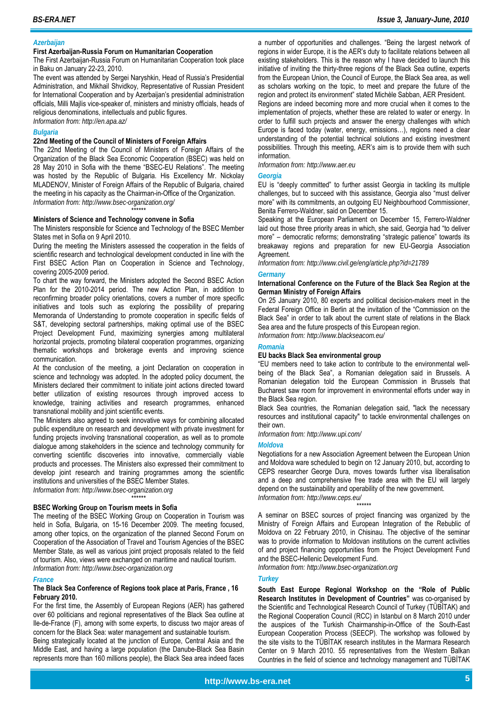#### *Azerbaijan*

#### **First Azerbaijan-Russia Forum on Humanitarian Cooperation**

The First Azerbaijan-Russia Forum on Humanitarian Cooperation took place in Baku on January 22-23, 2010.

The event was attended by Sergei Naryshkin, Head of Russia's Presidential Administration, and Mikhail Shvidkoy, Representative of Russian President for International Cooperation and by Azerbaijan's presidential administration officials, Milli Majlis vice-speaker of, ministers and ministry officials, heads of religious denominations, intellectuals and public figures.

*Information from: http://en.apa.az/* 

#### *Bulgaria*

#### **22nd Meeting of the Council of Ministers of Foreign Affairs**

The 22nd Meeting of the Council of Ministers of Foreign Affairs of the Organization of the Black Sea Economic Cooperation (BSEC) was held on 28 May 2010 in Sofia with the theme "BSEC-EU Relations". The meeting was hosted by the Republic of Bulgaria. His Excellency Mr. Nickolay MLADENOV, Minister of Foreign Affairs of the Republic of Bulgaria, chaired the meeting in his capacity as the Chairman-in-Office of the Organization. *Information from: http://www.bsec-organization.org/* 

\*\*\*\*\*\* **Ministers of Science and Technology convene in Sofia** 

The Ministers responsible for Science and Technology of the BSEC Member States met in Sofia on 9 April 2010.

During the meeting the Ministers assessed the cooperation in the fields of scientific research and technological development conducted in line with the First BSEC Action Plan on Cooperation in Science and Technology, covering 2005-2009 period.

To chart the way forward, the Ministers adopted the Second BSEC Action Plan for the 2010-2014 period. The new Action Plan, in addition to reconfirming broader policy orientations, covers a number of more specific initiatives and tools such as exploring the possibility of preparing Memoranda of Understanding to promote cooperation in specific fields of S&T, developing sectoral partnerships, making optimal use of the BSEC Project Development Fund, maximizing synergies among multilateral horizontal projects, promoting bilateral cooperation programmes, organizing thematic workshops and brokerage events and improving science communication.

At the conclusion of the meeting, a joint Declaration on cooperation in science and technology was adopted. In the adopted policy document, the Ministers declared their commitment to initiate joint actions directed toward better utilization of existing resources through improved access to knowledge, training activities and research programmes, enhanced transnational mobility and joint scientific events.

The Ministers also agreed to seek innovative ways for combining allocated public expenditure on research and development with private investment for funding projects involving transnational cooperation, as well as to promote dialogue among stakeholders in the science and technology community for converting scientific discoveries into innovative, commercially viable products and processes. The Ministers also expressed their commitment to develop joint research and training programmes among the scientific institutions and universities of the BSEC Member States.

*Information from: http://www.bsec-organization.org* 

#### **BSEC Working Group on Tourism meets in Sofia**

The meeting of the BSEC Working Group on Cooperation in Tourism was held in Sofia, Bulgaria, on 15-16 December 2009. The meeting focused, among other topics, on the organization of the planned Second Forum on Cooperation of the Association of Travel and Tourism Agencies of the BSEC Member State, as well as various joint project proposals related to the field of tourism. Also, views were exchanged on maritime and nautical tourism. *Information from: http://www.bsec-organization.org* 

\*\*\*\*\*\*

#### *France*

#### **The Black Sea Conference of Regions took place at Paris, France , 16 February 2010.**

For the first time, the Assembly of European Regions (AER) has gathered over 60 politicians and regional representatives of the Black Sea outline at Ile-de-France (F), among with some experts, to discuss two major areas of concern for the Black Sea: water management and sustainable tourism.

Being strategically located at the junction of Europe, Central Asia and the Middle East, and having a large population (the Danube-Black Sea Basin represents more than 160 millions people), the Black Sea area indeed faces

a number of opportunities and challenges. "Being the largest network of regions in wider Europe, it is the AER's duty to facilitate relations between all existing stakeholders. This is the reason why I have decided to launch this initiative of inviting the thirty-three regions of the Black Sea outline, experts from the European Union, the Council of Europe, the Black Sea area, as well as scholars working on the topic, to meet and prepare the future of the region and protect its environment" stated Michèle Sabban, AER President. Regions are indeed becoming more and more crucial when it comes to the implementation of projects, whether these are related to water or energy. In order to fulfill such projects and answer the energy challenges with which Europe is faced today (water, energy, emissions…), regions need a clear understanding of the potential technical solutions and existing investment possibilities. Through this meeting, AER's aim is to provide them with such information.

*Information from: http://www.aer.eu* 

#### *Georgia*

EU is "deeply committed" to further assist Georgia in tackling its multiple challenges, but to succeed with this assistance, Georgia also "must deliver more" with its commitments, an outgoing EU Neighbourhood Commissioner, Benita Ferrero-Waldner, said on December 15.

Speaking at the European Parliament on December 15, Ferrero-Waldner laid out those three priority areas in which, she said, Georgia had "to deliver more" – democratic reforms; demonstrating "strategic patience" towards its breakaway regions and preparation for new EU-Georgia Association Agreement.

*Information from: http://www.civil.ge/eng/article.php?id=21789* 

#### *Germany*

#### **International Conference on the Future of the Black Sea Region at the German Ministry of Foreign Affairs**

On 25 January 2010, 80 experts and political decision-makers meet in the Federal Foreign Office in Berlin at the invitation of the "Commission on the Black Sea" in order to talk about the current state of relations in the Black Sea area and the future prospects of this European region.

*Information from: http://www.blackseacom.eu/* 

### *Romania*

#### **EU backs Black Sea environmental group**

"EU members need to take action to contribute to the environmental wellbeing of the Black Sea", a Romanian delegation said in Brussels. A Romanian delegation told the European Commission in Brussels that Bucharest saw room for improvement in environmental efforts under way in the Black Sea region.

Black Sea countries, the Romanian delegation said, "lack the necessary resources and institutional capacity" to tackle environmental challenges on their own.

*Information from: http://www.upi.com/* 

#### *Moldova*

Negotiations for a new Association Agreement between the European Union and Moldova ware scheduled to begin on 12 January 2010, but, according to CEPS researcher George Dura, moves towards further visa liberalisation and a deep and comprehensive free trade area with the EU will largely depend on the sustainability and operability of the new government. *Information from: http://www.ceps.eu/* 

\*\*\*\*\*\*

A seminar on BSEC sources of project financing was organized by the Ministry of Foreign Affairs and European Integration of the Rebublic of Moldova on 22 February 2010, in Chisinau. The objective of the seminar was to provide information to Moldovan institutions on the current activities of and project financing opportunities from the Project Development Fund and the BSEC-Hellenic Development Fund.

*Information from: http://www.bsec-organization.org* 

#### *Turkey*

**South East Europe Regional Workshop on the "Role of Public Research Institutes in Development of Countries"** was co-organised by the Scientific and Technological Research Council of Turkey (TÜBİTAK) and the Regional Cooperation Council (RCC) in Istanbul on 8 March 2010 under the auspices of the Turkish Chairmanship-in-Office of the South-East European Cooperation Process (SEECP). The workshop was followed by the site visits to the TÜBİTAK research institutes in the Marmara Research Center on 9 March 2010. 55 representatives from the Western Balkan Countries in the field of science and technology management and TÜBİTAK